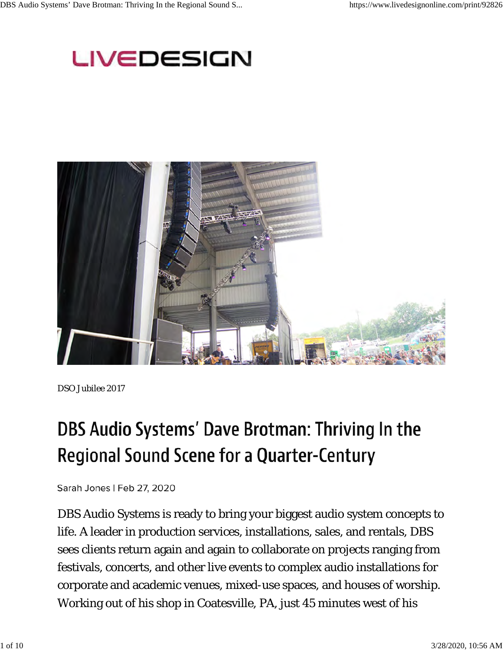## LIVEDESIGN



*DSO Jubilee 2017*

# DBS Audio Systems' Dave Brotman: Thriving In the **Regional Sound Scene for a Quarter-Century**

Sarah Jones | Feb 27, 2020

DBS Audio Systems is ready to bring your biggest audio system concepts to life. A leader in production services, installations, sales, and rentals, DBS sees clients return again and again to collaborate on projects ranging from festivals, concerts, and other live events to complex audio installations for corporate and academic venues, mixed-use spaces, and houses of worship. Working out of his shop in Coatesville, PA, just 45 minutes west of his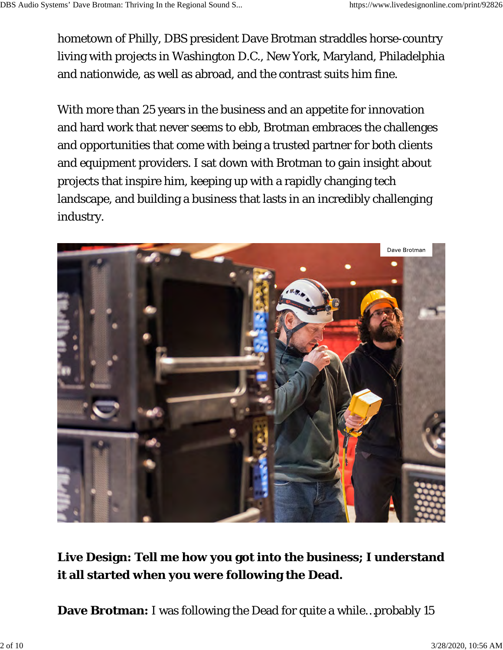hometown of Philly, DBS president Dave Brotman straddles horse-country living with projects in Washington D.C., New York, Maryland, Philadelphia and nationwide, as well as abroad, and the contrast suits him fine.

With more than 25 years in the business and an appetite for innovation and hard work that never seems to ebb, Brotman embraces the challenges and opportunities that come with being a trusted partner for both clients and equipment providers. I sat down with Brotman to gain insight about projects that inspire him, keeping up with a rapidly changing tech landscape, and building a business that lasts in an incredibly challenging industry.



#### **Live Design: Tell me how you got into the business; I understand it all started when you were following the Dead.**

**Dave Brotman:** I was following the Dead for quite a while…probably 15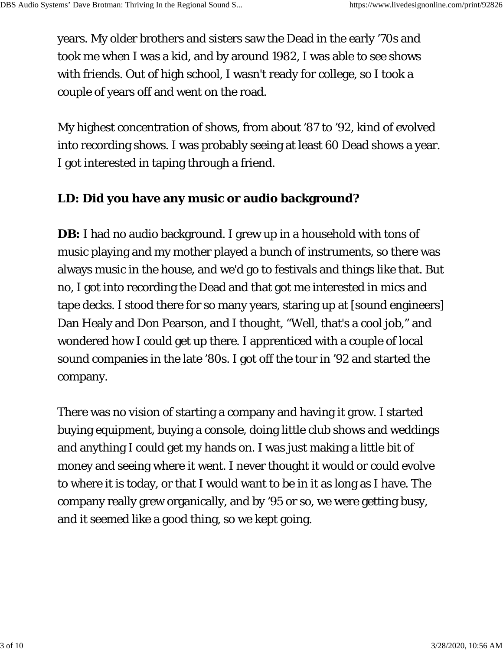years. My older brothers and sisters saw the Dead in the early '70s and took me when I was a kid, and by around 1982, I was able to see shows with friends. Out of high school, I wasn't ready for college, so I took a couple of years off and went on the road.

My highest concentration of shows, from about '87 to '92, kind of evolved into recording shows. I was probably seeing at least 60 Dead shows a year. I got interested in taping through a friend.

#### **LD: Did you have any music or audio background?**

**DB:** I had no audio background. I grew up in a household with tons of music playing and my mother played a bunch of instruments, so there was always music in the house, and we'd go to festivals and things like that. But no, I got into recording the Dead and that got me interested in mics and tape decks. I stood there for so many years, staring up at [sound engineers] Dan Healy and Don Pearson, and I thought, "Well, that's a cool job," and wondered how I could get up there. I apprenticed with a couple of local sound companies in the late '80s. I got off the tour in '92 and started the company.

There was no vision of starting a company and having it grow. I started buying equipment, buying a console, doing little club shows and weddings and anything I could get my hands on. I was just making a little bit of money and seeing where it went. I never thought it would or could evolve to where it is today, or that I would want to be in it as long as I have. The company really grew organically, and by '95 or so, we were getting busy, and it seemed like a good thing, so we kept going.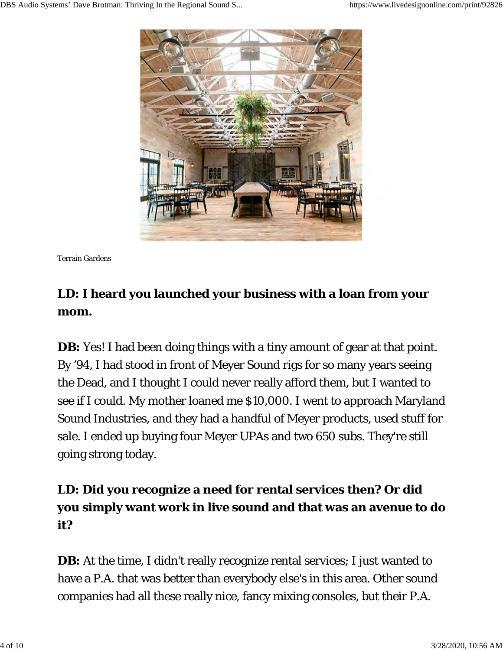

Terrain Gardens

## **LD: I heard you launched your business with a loan from your mom.**

**DB:** Yes! I had been doing things with a tiny amount of gear at that point. By '94, I had stood in front of Meyer Sound rigs for so many years seeing the Dead, and I thought I could never really afford them, but I wanted to see if I could. My mother loaned me \$10,000. I went to approach Maryland Sound Industries, and they had a handful of Meyer products, used stuff for sale. I ended up buying four Meyer UPAs and two 650 subs. They're still going strong today.

## **LD: Did you recognize a need for rental services then? Or did you simply want work in live sound and that was an avenue to do it?**

**DB:** At the time, I didn't really recognize rental services; I just wanted to have a P.A. that was better than everybody else's in this area. Other sound companies had all these really nice, fancy mixing consoles, but their P.A.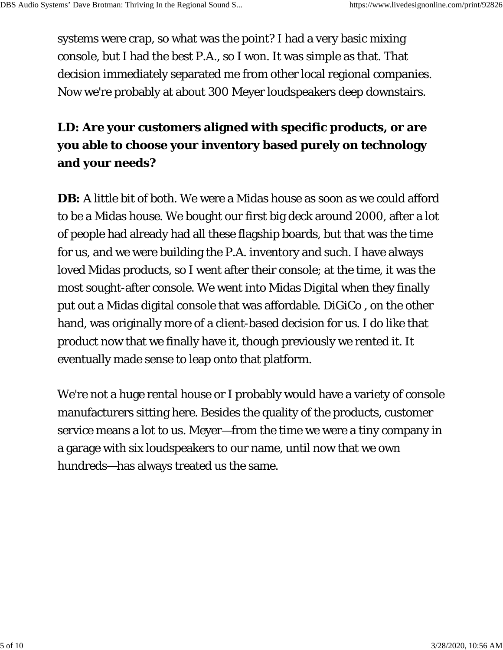systems were crap, so what was the point? I had a very basic mixing console, but I had the best P.A., so I won. It was simple as that. That decision immediately separated me from other local regional companies. Now we're probably at about 300 Meyer loudspeakers deep downstairs.

#### **LD: Are your customers aligned with specific products, or are you able to choose your inventory based purely on technology and your needs?**

**DB:** A little bit of both. We were a Midas house as soon as we could afford to be a Midas house. We bought our first big deck around 2000, after a lot of people had already had all these flagship boards, but that was the time for us, and we were building the P.A. inventory and such. I have always loved Midas products, so I went after their console; at the time, it was the most sought-after console. We went into Midas Digital when they finally put out a Midas digital console that was affordable. DiGiCo , on the other hand, was originally more of a client-based decision for us. I do like that product now that we finally have it, though previously we rented it. It eventually made sense to leap onto that platform.

We're not a huge rental house or I probably would have a variety of console manufacturers sitting here. Besides the quality of the products, customer service means a lot to us. Meyer—from the time we were a tiny company in a garage with six loudspeakers to our name, until now that we own hundreds—has always treated us the same.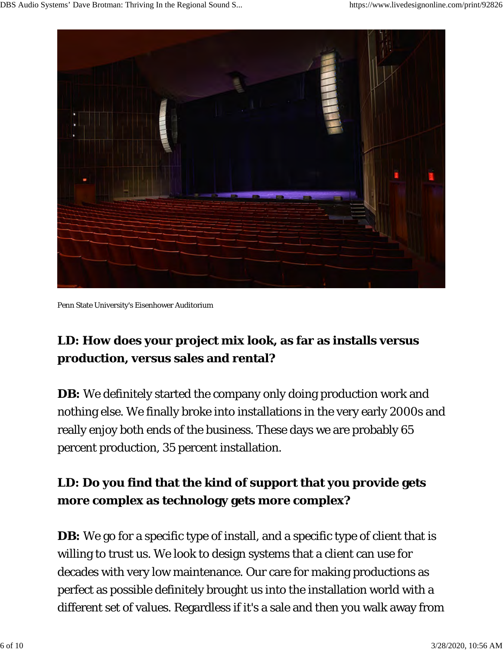

Penn State University's Eisenhower Auditorium

## **LD: How does your project mix look, as far as installs versus production, versus sales and rental?**

**DB:** We definitely started the company only doing production work and nothing else. We finally broke into installations in the very early 2000s and really enjoy both ends of the business. These days we are probably 65 percent production, 35 percent installation.

#### **LD: Do you find that the kind of support that you provide gets more complex as technology gets more complex?**

**DB:** We go for a specific type of install, and a specific type of client that is willing to trust us. We look to design systems that a client can use for decades with very low maintenance. Our care for making productions as perfect as possible definitely brought us into the installation world with a different set of values. Regardless if it's a sale and then you walk away from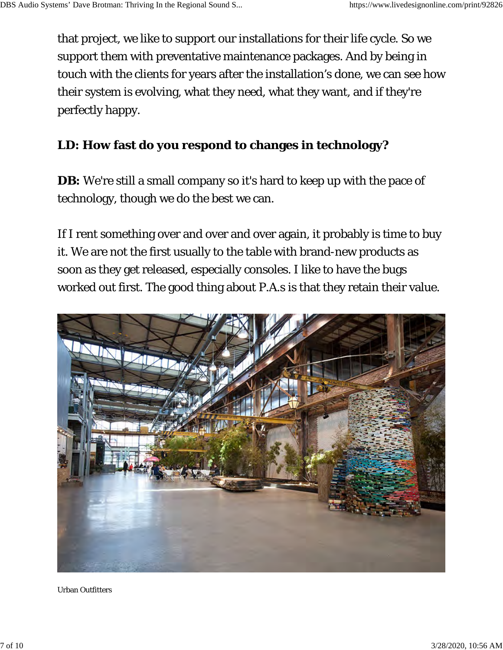that project, we like to support our installations for their life cycle. So we support them with preventative maintenance packages. And by being in touch with the clients for years after the installation's done, we can see how their system is evolving, what they need, what they want, and if they're perfectly happy.

#### **LD: How fast do you respond to changes in technology?**

**DB:** We're still a small company so it's hard to keep up with the pace of technology, though we do the best we can.

If I rent something over and over and over again, it probably is time to buy it. We are not the first usually to the table with brand-new products as soon as they get released, especially consoles. I like to have the bugs worked out first. The good thing about P.A.s is that they retain their value.



Urban Outfitters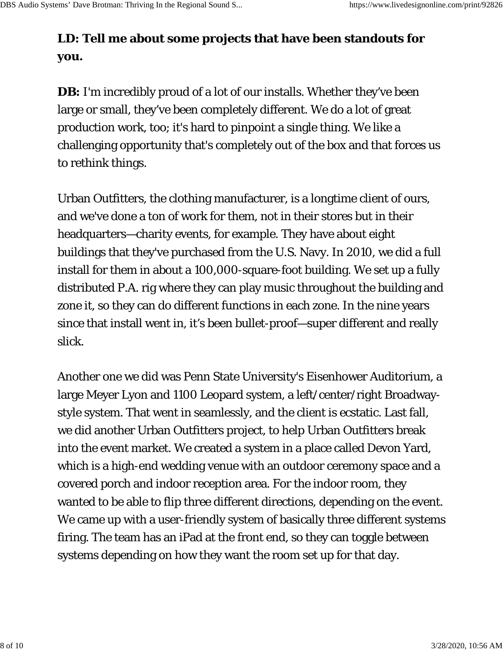#### **LD: Tell me about some projects that have been standouts for you.**

**DB:** I'm incredibly proud of a lot of our installs. Whether they've been large or small, they've been completely different. We do a lot of great production work, too; it's hard to pinpoint a single thing. We like a challenging opportunity that's completely out of the box and that forces us to rethink things.

Urban Outfitters, the clothing manufacturer, is a longtime client of ours, and we've done a ton of work for them, not in their stores but in their headquarters—charity events, for example. They have about eight buildings that they've purchased from the U.S. Navy. In 2010, we did a full install for them in about a 100,000-square-foot building. We set up a fully distributed P.A. rig where they can play music throughout the building and zone it, so they can do different functions in each zone. In the nine years since that install went in, it's been bullet-proof—super different and really slick.

Another one we did was Penn State University's Eisenhower Auditorium, a large Meyer Lyon and 1100 Leopard system, a left/center/right Broadwaystyle system. That went in seamlessly, and the client is ecstatic. Last fall, we did another Urban Outfitters project, to help Urban Outfitters break into the event market. We created a system in a place called Devon Yard, which is a high-end wedding venue with an outdoor ceremony space and a covered porch and indoor reception area. For the indoor room, they wanted to be able to flip three different directions, depending on the event. We came up with a user-friendly system of basically three different systems firing. The team has an iPad at the front end, so they can toggle between systems depending on how they want the room set up for that day.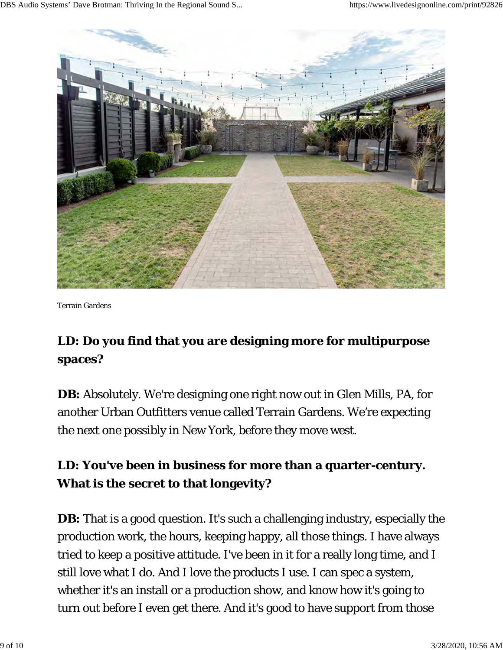

Terrain Gardens

## **LD: Do you find that you are designing more for multipurpose spaces?**

**DB:** Absolutely. We're designing one right now out in Glen Mills, PA, for another Urban Outfitters venue called Terrain Gardens. We're expecting the next one possibly in New York, before they move west.

#### **LD: You've been in business for more than a quarter-century. What is the secret to that longevity?**

**DB:** That is a good question. It's such a challenging industry, especially the production work, the hours, keeping happy, all those things. I have always tried to keep a positive attitude. I've been in it for a really long time, and I still love what I do. And I love the products I use. I can spec a system, whether it's an install or a production show, and know how it's going to turn out before I even get there. And it's good to have support from those